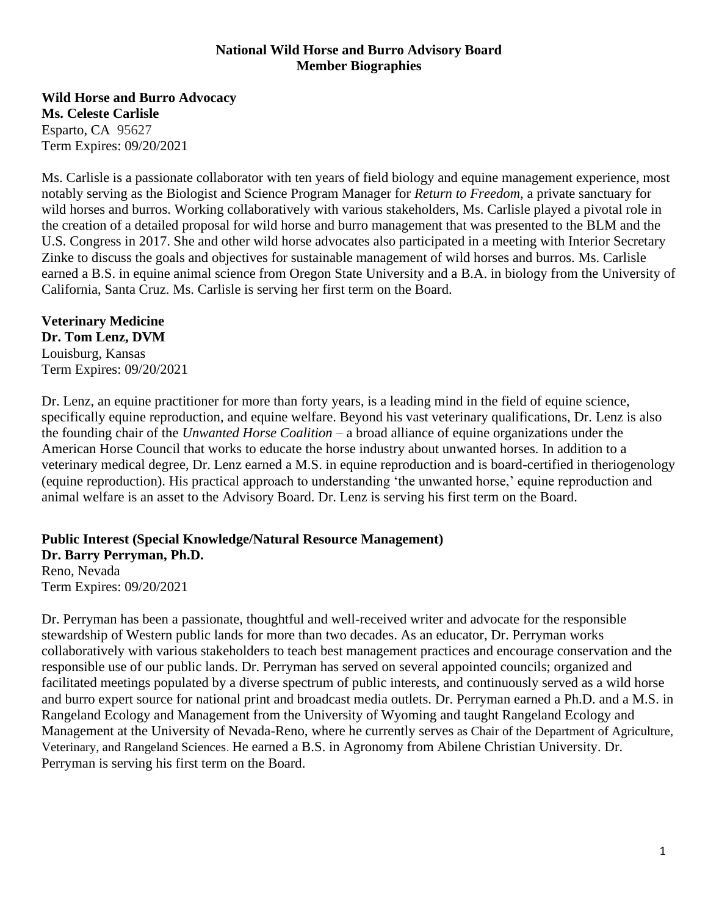## **National Wild Horse and Burro Advisory Board Member Biographies**

**Wild Horse and Burro Advocacy Ms. Celeste Carlisle** Esparto, CA 95627 Term Expires: 09/20/2021

Ms. Carlisle is a passionate collaborator with ten years of field biology and equine management experience, most notably serving as the Biologist and Science Program Manager for *Return to Freedom,* a private sanctuary for wild horses and burros. Working collaboratively with various stakeholders, Ms. Carlisle played a pivotal role in the creation of a detailed proposal for wild horse and burro management that was presented to the BLM and the U.S. Congress in 2017. She and other wild horse advocates also participated in a meeting with Interior Secretary Zinke to discuss the goals and objectives for sustainable management of wild horses and burros. Ms. Carlisle earned a B.S. in equine animal science from Oregon State University and a B.A. in biology from the University of California, Santa Cruz. Ms. Carlisle is serving her first term on the Board.

# **Veterinary Medicine**

**Dr. Tom Lenz, DVM** Louisburg, Kansas Term Expires: 09/20/2021

Dr. Lenz, an equine practitioner for more than forty years, is a leading mind in the field of equine science, specifically equine reproduction, and equine welfare. Beyond his vast veterinary qualifications, Dr. Lenz is also the founding chair of the *Unwanted Horse Coalition* – a broad alliance of equine organizations under the American Horse Council that works to educate the horse industry about unwanted horses. In addition to a veterinary medical degree, Dr. Lenz earned a M.S. in equine reproduction and is board-certified in theriogenology (equine reproduction). His practical approach to understanding 'the unwanted horse,' equine reproduction and animal welfare is an asset to the Advisory Board. Dr. Lenz is serving his first term on the Board.

# **Public Interest (Special Knowledge/Natural Resource Management) Dr. Barry Perryman, Ph.D.**

Reno, Nevada Term Expires: 09/20/2021

Dr. Perryman has been a passionate, thoughtful and well-received writer and advocate for the responsible stewardship of Western public lands for more than two decades. As an educator, Dr. Perryman works collaboratively with various stakeholders to teach best management practices and encourage conservation and the responsible use of our public lands. Dr. Perryman has served on several appointed councils; organized and facilitated meetings populated by a diverse spectrum of public interests, and continuously served as a wild horse and burro expert source for national print and broadcast media outlets. Dr. Perryman earned a Ph.D. and a M.S. in Rangeland Ecology and Management from the University of Wyoming and taught Rangeland Ecology and Management at the University of Nevada-Reno, where he currently serves as Chair of the Department of Agriculture, Veterinary, and Rangeland Sciences. He earned a B.S. in Agronomy from Abilene Christian University. Dr. Perryman is serving his first term on the Board.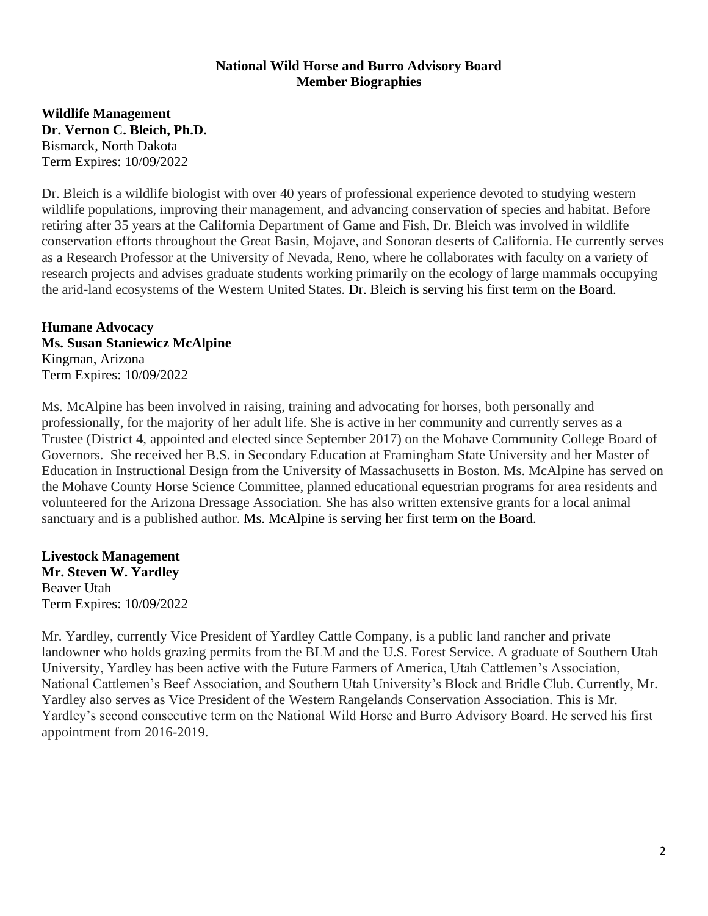### **National Wild Horse and Burro Advisory Board Member Biographies**

**Wildlife Management Dr. Vernon C. Bleich, Ph.D.** Bismarck, North Dakota Term Expires: 10/09/2022

Dr. Bleich is a wildlife biologist with over 40 years of professional experience devoted to studying western wildlife populations, improving their management, and advancing conservation of species and habitat. Before retiring after 35 years at the California Department of Game and Fish, Dr. Bleich was involved in wildlife conservation efforts throughout the Great Basin, Mojave, and Sonoran deserts of California. He currently serves as a Research Professor at the University of Nevada, Reno, where he collaborates with faculty on a variety of research projects and advises graduate students working primarily on the ecology of large mammals occupying the arid-land ecosystems of the Western United States. Dr. Bleich is serving his first term on the Board.

**Humane Advocacy Ms. Susan Staniewicz McAlpine** Kingman, Arizona Term Expires: 10/09/2022

Ms. McAlpine has been involved in raising, training and advocating for horses, both personally and professionally, for the majority of her adult life. She is active in her community and currently serves as a Trustee (District 4, appointed and elected since September 2017) on the Mohave Community College Board of Governors. She received her B.S. in Secondary Education at Framingham State University and her Master of Education in Instructional Design from the University of Massachusetts in Boston. Ms. McAlpine has served on the Mohave County Horse Science Committee, planned educational equestrian programs for area residents and volunteered for the Arizona Dressage Association. She has also written extensive grants for a local animal sanctuary and is a published author. Ms. McAlpine is serving her first term on the Board.

**Livestock Management Mr. Steven W. Yardley** Beaver Utah Term Expires: 10/09/2022

Mr. Yardley, currently Vice President of Yardley Cattle Company, is a public land rancher and private landowner who holds grazing permits from the BLM and the U.S. Forest Service. A graduate of Southern Utah University, Yardley has been active with the Future Farmers of America, Utah Cattlemen's Association, National Cattlemen's Beef Association, and Southern Utah University's Block and Bridle Club. Currently, Mr. Yardley also serves as Vice President of the Western Rangelands Conservation Association. This is Mr. Yardley's second consecutive term on the National Wild Horse and Burro Advisory Board. He served his first appointment from 2016-2019.